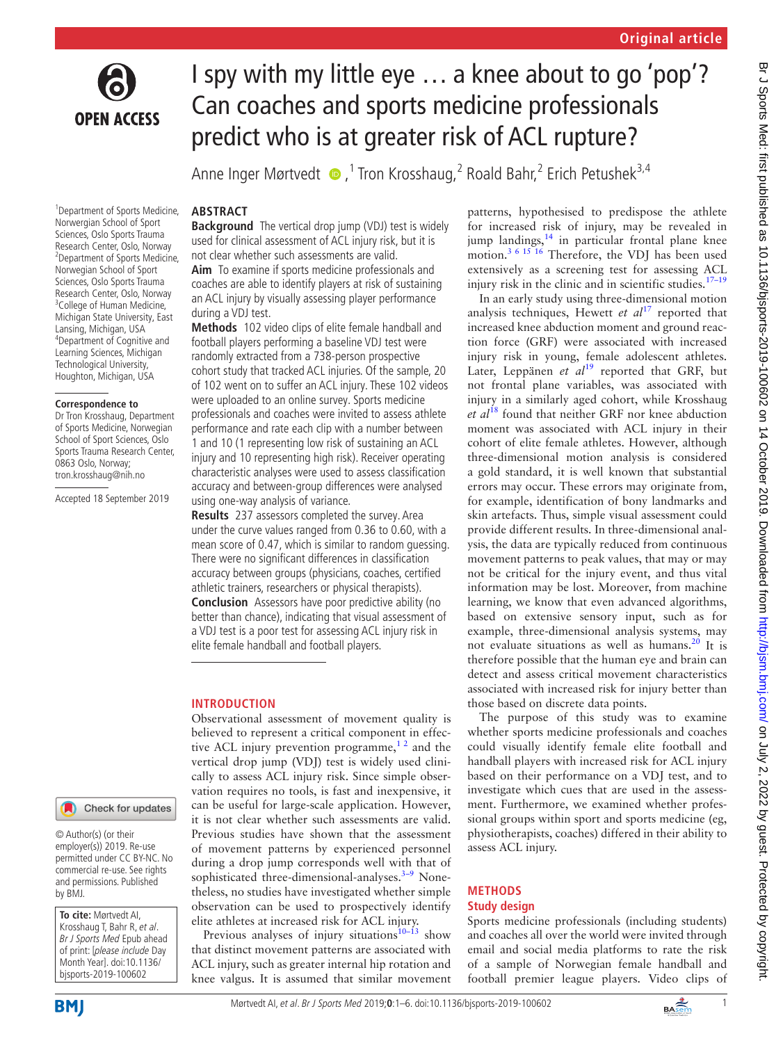

1 Department of Sports Medicine, Norwergian School of Sport Sciences, Oslo Sports Trauma Research Center, Oslo, Norway 2 Department of Sports Medicine, Norwegian School of Sport Sciences, Oslo Sports Trauma Research Center, Oslo, Norway <sup>3</sup>College of Human Medicine, Michigan State University, East Lansing, Michigan, USA 4 Department of Cognitive and Learning Sciences, Michigan Technological University, Houghton, Michigan, USA

**Correspondence to** Dr Tron Krosshaug, Department of Sports Medicine, Norwegian School of Sport Sciences, Oslo Sports Trauma Research Center, 0863 Oslo, Norway; tron.krosshaug@nih.no Accepted 18 September 2019

I spy with my little eye … a knee about to go 'pop'? Can coaches and sports medicine professionals predict who is at greater risk of ACL rupture?

Anne Inger Mørtvedt  $\bullet$  ,<sup>1</sup> Tron Krosshaug,<sup>2</sup> Roald Bahr,<sup>2</sup> Erich Petushek<sup>3,4</sup>

# **Abstract**

**Background** The vertical drop jump (VDJ) test is widely used for clinical assessment of ACL injury risk, but it is not clear whether such assessments are valid. **Aim** To examine if sports medicine professionals and

coaches are able to identify players at risk of sustaining an ACL injury by visually assessing player performance during a VDJ test.

**Methods** 102 video clips of elite female handball and football players performing a baseline VDJ test were randomly extracted from a 738-person prospective cohort study that tracked ACL injuries. Of the sample, 20 of 102 went on to suffer an ACL injury. These 102 videos were uploaded to an online survey. Sports medicine professionals and coaches were invited to assess athlete performance and rate each clip with a number between 1 and 10 (1 representing low risk of sustaining an ACL injury and 10 representing high risk). Receiver operating characteristic analyses were used to assess classification accuracy and between-group differences were analysed using one-way analysis of variance.

**Results** 237 assessors completed the survey. Area under the curve values ranged from 0.36 to 0.60, with a mean score of 0.47, which is similar to random guessing. There were no significant differences in classification accuracy between groups (physicians, coaches, certified athletic trainers, researchers or physical therapists). **Conclusion** Assessors have poor predictive ability (no better than chance), indicating that visual assessment of a VDJ test is a poor test for assessing ACL injury risk in elite female handball and football players.

# **Introduction**

Observational assessment of movement quality is believed to represent a critical component in effective ACL injury prevention programme,  $1<sup>2</sup>$  and the vertical drop jump (VDJ) test is widely used clinically to assess ACL injury risk. Since simple observation requires no tools, is fast and inexpensive, it can be useful for large-scale application. However, it is not clear whether such assessments are valid. Previous studies have shown that the assessment of movement patterns by experienced personnel during a drop jump corresponds well with that of sophisticated three-dimensional-analyses.<sup>[3–9](#page-4-1)</sup> Nonetheless, no studies have investigated whether simple observation can be used to prospectively identify elite athletes at increased risk for ACL injury.

Previous analyses of injury situations<sup>10-13</sup> show that distinct movement patterns are associated with ACL injury, such as greater internal hip rotation and knee valgus. It is assumed that similar movement

patterns, hypothesised to predispose the athlete for increased risk of injury, may be revealed in jump landings, $14$  in particular frontal plane knee motion.<sup>3 6</sup> <sup>15</sup> <sup>16</sup> Therefore, the VDJ has been used extensively as a screening test for assessing ACL injury risk in the clinic and in scientific studies.[17–19](#page-4-4)

In an early study using three-dimensional motion analysis techniques, Hewett *et al*<sup>17</sup> reported that increased knee abduction moment and ground reaction force (GRF) were associated with increased injury risk in young, female adolescent athletes. Later, Leppänen et al<sup>19</sup> reported that GRF, but not frontal plane variables, was associated with injury in a similarly aged cohort, while Krosshaug *et al*[18](#page-5-1) found that neither GRF nor knee abduction moment was associated with ACL injury in their cohort of elite female athletes. However, although three-dimensional motion analysis is considered a gold standard, it is well known that substantial errors may occur. These errors may originate from, for example, identification of bony landmarks and skin artefacts. Thus, simple visual assessment could provide different results. In three-dimensional analysis, the data are typically reduced from continuous movement patterns to peak values, that may or may not be critical for the injury event, and thus vital information may be lost. Moreover, from machine learning, we know that even advanced algorithms, based on extensive sensory input, such as for example, three-dimensional analysis systems, may not evaluate situations as well as humans.<sup>20</sup> It is therefore possible that the human eye and brain can detect and assess critical movement characteristics associated with increased risk for injury better than those based on discrete data points.

The purpose of this study was to examine whether sports medicine professionals and coaches could visually identify female elite football and handball players with increased risk for ACL injury based on their performance on a VDJ test, and to investigate which cues that are used in the assessment. Furthermore, we examined whether professional groups within sport and sports medicine (eg, physiotherapists, coaches) differed in their ability to assess ACL injury.

## **Methods Study design**

Sports medicine professionals (including students) and coaches all over the world were invited through email and social media platforms to rate the risk of a sample of Norwegian female handball and football premier league players. Video clips of

Check for updates

© Author(s) (or their employer(s)) 2019. Re-use permitted under CC BY-NC. No commercial re-use. See rights and permissions. Published by BMJ.

**To cite:** Mørtvedt AI, Krosshaug T, Bahr R, et al. Br J Sports Med Epub ahead of print: [please include Day Month Year]. doi:10.1136/ bjsports-2019-100602

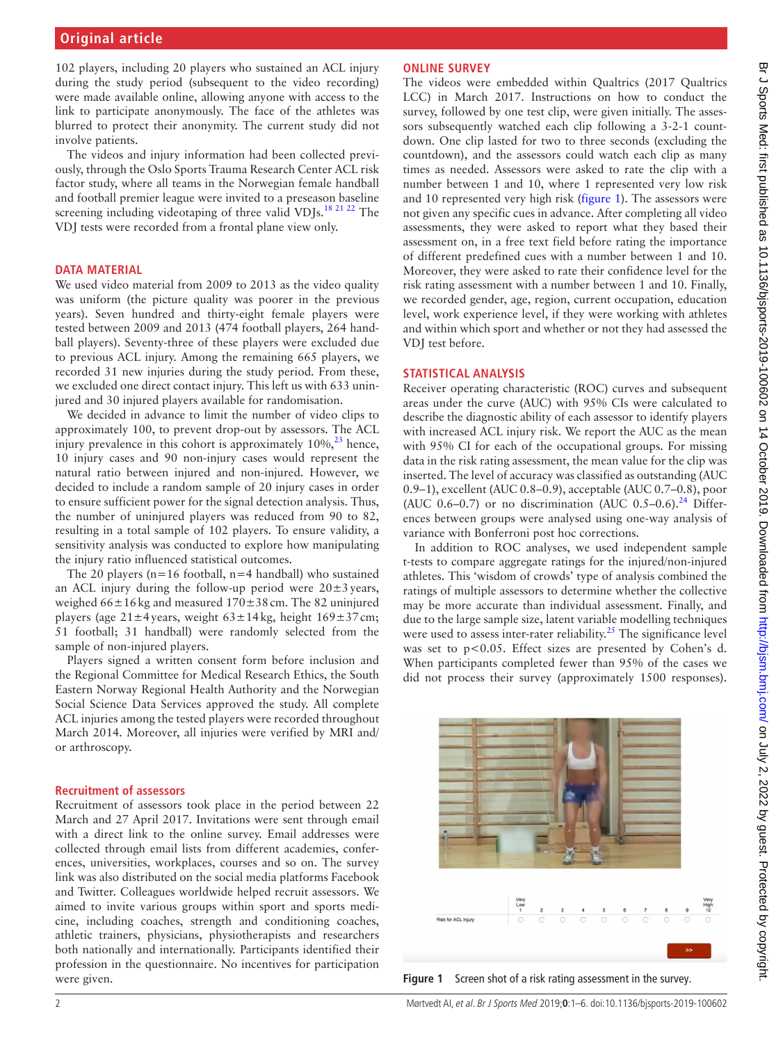102 players, including 20 players who sustained an ACL injury during the study period (subsequent to the video recording) were made available online, allowing anyone with access to the link to participate anonymously. The face of the athletes was blurred to protect their anonymity. The current study did not involve patients.

The videos and injury information had been collected previously, through the Oslo Sports Trauma Research Center ACL risk factor study, where all teams in the Norwegian female handball and football premier league were invited to a preseason baseline screening including videotaping of three valid VDJs.<sup>18 21 22</sup> The VDJ tests were recorded from a frontal plane view only.

# **Data material**

We used video material from 2009 to 2013 as the video quality was uniform (the picture quality was poorer in the previous years). Seven hundred and thirty-eight female players were tested between 2009 and 2013 (474 football players, 264 handball players). Seventy-three of these players were excluded due to previous ACL injury. Among the remaining 665 players, we recorded 31 new injuries during the study period. From these, we excluded one direct contact injury. This left us with 633 uninjured and 30 injured players available for randomisation.

We decided in advance to limit the number of video clips to approximately 100, to prevent drop-out by assessors. The ACL injury prevalence in this cohort is approximately  $10\%,^{23}$  hence, 10 injury cases and 90 non-injury cases would represent the natural ratio between injured and non-injured. However, we decided to include a random sample of 20 injury cases in order to ensure sufficient power for the signal detection analysis. Thus, the number of uninjured players was reduced from 90 to 82, resulting in a total sample of 102 players. To ensure validity, a sensitivity analysis was conducted to explore how manipulating the injury ratio influenced statistical outcomes.

The 20 players ( $n=16$  football,  $n=4$  handball) who sustained an ACL injury during the follow-up period were  $20 \pm 3$  years, weighed 66±16kg and measured 170±38cm. The 82 uninjured players (age 21±4years, weight 63±14kg, height 169±37cm; 51 football; 31 handball) were randomly selected from the sample of non-injured players.

Players signed a written consent form before inclusion and the Regional Committee for Medical Research Ethics, the South Eastern Norway Regional Health Authority and the Norwegian Social Science Data Services approved the study. All complete ACL injuries among the tested players were recorded throughout March 2014. Moreover, all injuries were verified by MRI and/ or arthroscopy.

# **Recruitment of assessors**

Recruitment of assessors took place in the period between 22 March and 27 April 2017. Invitations were sent through email with a direct link to the online survey. Email addresses were collected through email lists from different academies, conferences, universities, workplaces, courses and so on. The survey link was also distributed on the social media platforms Facebook and Twitter. Colleagues worldwide helped recruit assessors. We aimed to invite various groups within sport and sports medicine, including coaches, strength and conditioning coaches, athletic trainers, physicians, physiotherapists and researchers both nationally and internationally. Participants identified their profession in the questionnaire. No incentives for participation were given.

# **Online survey**

The videos were embedded within Qualtrics (2017 Qualtrics LCC) in March 2017. Instructions on how to conduct the survey, followed by one test clip, were given initially. The assessors subsequently watched each clip following a 3-2-1 countdown. One clip lasted for two to three seconds (excluding the countdown), and the assessors could watch each clip as many times as needed. Assessors were asked to rate the clip with a number between 1 and 10, where 1 represented very low risk and 10 represented very high risk [\(figure](#page-1-0) 1). The assessors were not given any specific cues in advance. After completing all video assessments, they were asked to report what they based their assessment on, in a free text field before rating the importance of different predefined cues with a number between 1 and 10. Moreover, they were asked to rate their confidence level for the risk rating assessment with a number between 1 and 10. Finally, we recorded gender, age, region, current occupation, education level, work experience level, if they were working with athletes and within which sport and whether or not they had assessed the VDJ test before.

# **Statistical analysis**

Receiver operating characteristic (ROC) curves and subsequent areas under the curve (AUC) with 95% CIs were calculated to describe the diagnostic ability of each assessor to identify players with increased ACL injury risk. We report the AUC as the mean with 95% CI for each of the occupational groups. For missing data in the risk rating assessment, the mean value for the clip was inserted. The level of accuracy was classified as outstanding (AUC 0.9–1), excellent (AUC 0.8–0.9), acceptable (AUC 0.7–0.8), poor (AUC 0.6–0.7) or no discrimination (AUC 0.5–0.6).<sup>[24](#page-5-4)</sup> Differences between groups were analysed using one-way analysis of variance with Bonferroni post hoc corrections.

In addition to ROC analyses, we used independent sample t-tests to compare aggregate ratings for the injured/non-injured athletes. This 'wisdom of crowds' type of analysis combined the ratings of multiple assessors to determine whether the collective may be more accurate than individual assessment. Finally, and due to the large sample size, latent variable modelling techniques were used to assess inter-rater reliability. $25$  The significance level was set to p<0.05. Effect sizes are presented by Cohen's d. When participants completed fewer than 95% of the cases we did not process their survey (approximately 1500 responses).



<span id="page-1-0"></span>**Figure 1** Screen shot of a risk rating assessment in the survey.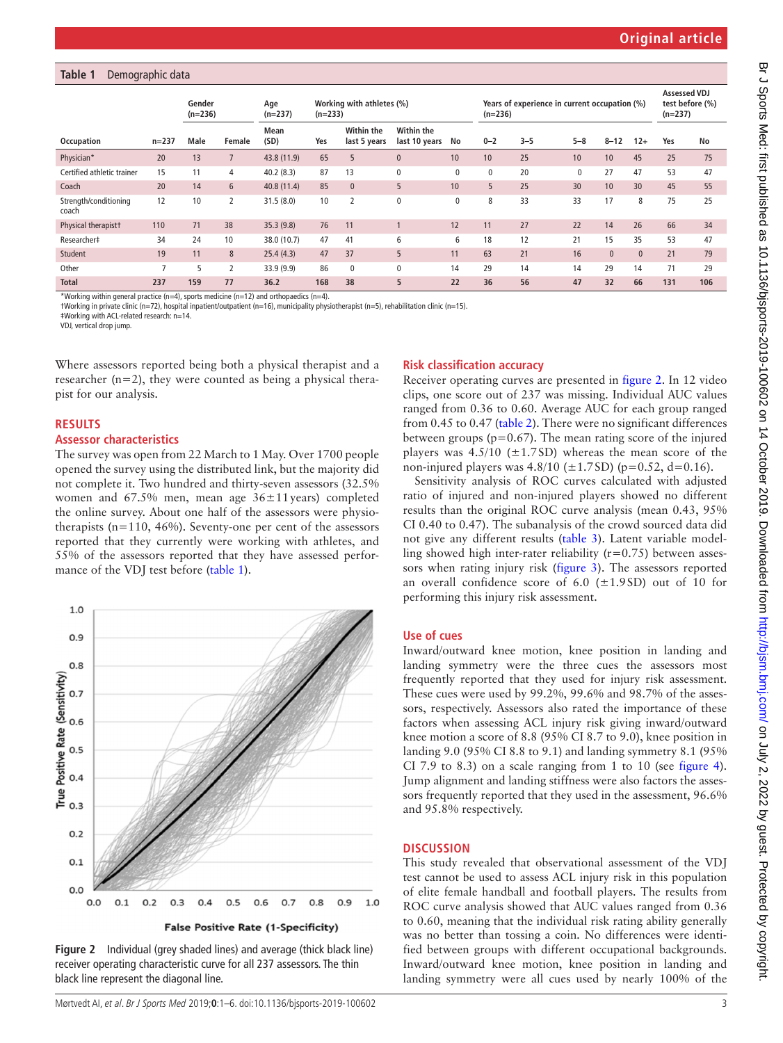# <span id="page-2-0"></span>**Table 1** Demographic data

|                                |                | Gender<br>$(n=236)$ |                | Age<br>$(n=237)$    | Working with athletes (%)<br>$(n=233)$ |                            |                             | Years of experience in current occupation (%)<br>$(n=236)$ |             |         | <b>Assessed VDJ</b><br>test before (%)<br>$(n=237)$ |              |              |     |     |
|--------------------------------|----------------|---------------------|----------------|---------------------|----------------------------------------|----------------------------|-----------------------------|------------------------------------------------------------|-------------|---------|-----------------------------------------------------|--------------|--------------|-----|-----|
| Occupation                     | $n = 237$      | Male                | Female         | <b>Mean</b><br>(SD) | Yes                                    | Within the<br>last 5 years | Within the<br>last 10 years | No                                                         | $0 - 2$     | $3 - 5$ | $5 - 8$                                             | $8 - 12$     | $12+$        | Yes | No  |
| Physician*                     | 20             | 13                  |                | 43.8 (11.9)         | 65                                     | 5                          | $\mathbf{0}$                | 10                                                         | 10          | 25      | 10 <sup>°</sup>                                     | 10           | 45           | 25  | 75  |
| Certified athletic trainer     | 15             | 11                  | 4              | 40.2(8.3)           | 87                                     | 13                         | $\mathbf 0$                 | $\mathbf 0$                                                | $\mathbf 0$ | 20      | 0                                                   | 27           | 47           | 53  | 47  |
| Coach                          | 20             | 14                  | 6              | 40.8(11.4)          | 85                                     | $\mathbf{0}$               | 5                           | 10                                                         | 5           | 25      | 30 <sup>°</sup>                                     | 10           | 30           | 45  | 55  |
| Strength/conditioning<br>coach | 12             | 10                  | 2              | 31.5(8.0)           | 10                                     | $\overline{2}$             | 0                           | $\mathbf 0$                                                | 8           | 33      | 33                                                  | 17           | 8            | 75  | 25  |
| Physical therapist†            | 110            | 71                  | 38             | 35.3(9.8)           | 76                                     | 11                         |                             | 12                                                         | 11          | 27      | 22                                                  | 14           | 26           | 66  | 34  |
| Researcher‡                    | 34             | 24                  | 10             | 38.0 (10.7)         | 47                                     | 41                         | 6                           | 6                                                          | 18          | 12      | 21                                                  | 15           | 35           | 53  | 47  |
| Student                        | 19             | 11                  | 8              | 25.4(4.3)           | 47                                     | 37                         | 5                           | 11                                                         | 63          | 21      | 16                                                  | $\mathbf{0}$ | $\mathbf{0}$ | 21  | 79  |
| Other                          | $\overline{ }$ | 5                   | $\overline{2}$ | 33.9 (9.9)          | 86                                     | 0                          | 0                           | 14                                                         | 29          | 14      | 14                                                  | 29           | 14           | 71  | 29  |
| <b>Total</b>                   | 237            | 159                 | 77             | 36.2                | 168                                    | 38                         | 5                           | 22                                                         | 36          | 56      | 47                                                  | 32           | 66           | 131 | 106 |

\*Working within general practice (n=4), sports medicine (n=12) and orthopaedics (n=4).

†Working in private clinic (n=72), hospital inpatient/outpatient (n=16), municipality physiotherapist (n=5), rehabilitation clinic (n=15).

‡Working with ACL-related research: n=14.

VDJ, vertical drop jump.

Where assessors reported being both a physical therapist and a researcher  $(n=2)$ , they were counted as being a physical therapist for our analysis.

### **Results**

 $1.0$ 

 $0.9$ 

 $0.8$ 

 $0.7$ 

 $0.6$ 

 $0.5$ 

 $0.4$ True I  $0.3$ 

 $0.2$ 

 $0.1$ 

 $0.0$ 

 $0.0$ 

 $0.1$ 

 $0.2$ 

 $0.3$ 

Positive Rate (Sensitivity)

#### **Assessor characteristics**

The survey was open from 22 March to 1 May. Over 1700 people opened the survey using the distributed link, but the majority did not complete it. Two hundred and thirty-seven assessors (32.5% women and 67.5% men, mean age 36±11years) completed the online survey. About one half of the assessors were physiotherapists ( $n=110$ , 46%). Seventy-one per cent of the assessors reported that they currently were working with athletes, and 55% of the assessors reported that they have assessed performance of the VDJ test before ([table](#page-2-0) 1).



Receiver operating curves are presented in [figure](#page-2-1) 2. In 12 video clips, one score out of 237 was missing. Individual AUC values ranged from 0.36 to 0.60. Average AUC for each group ranged from 0.45 to 0.47 ([table](#page-3-0) 2). There were no significant differences between groups ( $p=0.67$ ). The mean rating score of the injured players was  $4.5/10$  ( $\pm$ 1.7SD) whereas the mean score of the non-injured players was  $4.8/10$  ( $\pm$ 1.7SD) (p=0.52, d=0.16).

Sensitivity analysis of ROC curves calculated with adjusted ratio of injured and non-injured players showed no different results than the original ROC curve analysis (mean 0.43, 95% CI 0.40 to 0.47). The subanalysis of the crowd sourced data did not give any different results ([table](#page-3-1) 3). Latent variable modelling showed high inter-rater reliability  $(r=0.75)$  between assessors when rating injury risk ([figure](#page-3-2) 3). The assessors reported an overall confidence score of 6.0  $(\pm 1.9$  SD) out of 10 for performing this injury risk assessment.

## **Use of cues**

Inward/outward knee motion, knee position in landing and landing symmetry were the three cues the assessors most frequently reported that they used for injury risk assessment. These cues were used by 99.2%, 99.6% and 98.7% of the assessors, respectively. Assessors also rated the importance of these factors when assessing ACL injury risk giving inward/outward knee motion a score of 8.8 (95% CI 8.7 to 9.0), knee position in landing 9.0 (95% CI 8.8 to 9.1) and landing symmetry 8.1 (95% CI 7.9 to 8.3) on a scale ranging from 1 to 10 (see [figure](#page-3-3) 4). Jump alignment and landing stiffness were also factors the assessors frequently reported that they used in the assessment, 96.6% and 95.8% respectively.

# **Discussion**

This study revealed that observational assessment of the VDJ test cannot be used to assess ACL injury risk in this population of elite female handball and football players. The results from ROC curve analysis showed that AUC values ranged from 0.36 to 0.60, meaning that the individual risk rating ability generally was no better than tossing a coin. No differences were identified between groups with different occupational backgrounds. Inward/outward knee motion, knee position in landing and landing symmetry were all cues used by nearly 100% of the

<span id="page-2-1"></span>

 $0.4$ 

 $0.5$ 

 $0.6$ 

 $0.7$ 

 $0.8$ 

 $0.9$ 

1.0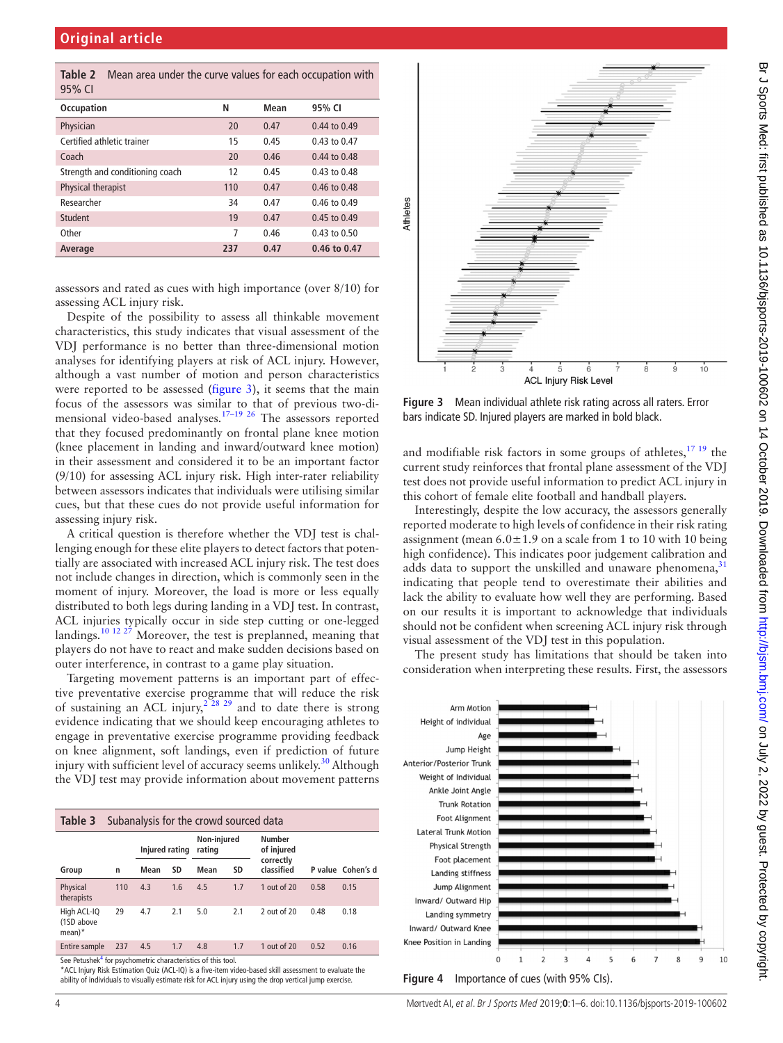<span id="page-3-0"></span>

| 95% CL | <b>Table 2</b> Mean area under the curve values for each occupation with |  |  |
|--------|--------------------------------------------------------------------------|--|--|
|        |                                                                          |  |  |

| <b>Occupation</b>               | N   | Mean | 95% CI           |
|---------------------------------|-----|------|------------------|
| Physician                       | 20  | 0.47 | 0.44 to 0.49     |
| Certified athletic trainer      | 15  | 0.45 | 0.43 to 0.47     |
| Coach                           | 20  | 0.46 | 0.44 to 0.48     |
| Strength and conditioning coach | 12  | 0.45 | 0.43 to 0.48     |
| Physical therapist              | 110 | 0.47 | 0.46 to 0.48     |
| Researcher                      | 34  | 0.47 | 0.46 to 0.49     |
| Student                         | 19  | 0.47 | 0.45 to 0.49     |
| Other                           | 7   | 0.46 | $0.43$ to $0.50$ |
| Average                         | 237 | 0.47 | 0.46 to 0.47     |

assessors and rated as cues with high importance (over 8/10) for assessing ACL injury risk.

Despite of the possibility to assess all thinkable movement characteristics, this study indicates that visual assessment of the VDJ performance is no better than three-dimensional motion analyses for identifying players at risk of ACL injury. However, although a vast number of motion and person characteristics were reported to be assessed [\(figure](#page-3-2) 3), it seems that the main focus of the assessors was similar to that of previous two-dimensional video-based analyses.<sup>17–19</sup> <sup>26</sup> The assessors reported that they focused predominantly on frontal plane knee motion (knee placement in landing and inward/outward knee motion) in their assessment and considered it to be an important factor (9/10) for assessing ACL injury risk. High inter-rater reliability between assessors indicates that individuals were utilising similar cues, but that these cues do not provide useful information for assessing injury risk.

A critical question is therefore whether the VDJ test is challenging enough for these elite players to detect factors that potentially are associated with increased ACL injury risk. The test does not include changes in direction, which is commonly seen in the moment of injury. Moreover, the load is more or less equally distributed to both legs during landing in a VDJ test. In contrast, ACL injuries typically occur in side step cutting or one-legged landings.<sup>10 12 27</sup> Moreover, the test is preplanned, meaning that players do not have to react and make sudden decisions based on outer interference, in contrast to a game play situation.

Targeting movement patterns is an important part of effective preventative exercise programme that will reduce the risk of sustaining an ACL injury,<sup>2 28</sup> 29 and to date there is strong evidence indicating that we should keep encouraging athletes to engage in preventative exercise programme providing feedback on knee alignment, soft landings, even if prediction of future injury with sufficient level of accuracy seems unlikely.<sup>30</sup> Although the VDJ test may provide information about movement patterns

<span id="page-3-1"></span>

| Table 3                                          | Subanalysis for the crowd sourced data |                |     |                       |     |                             |      |                   |  |  |  |
|--------------------------------------------------|----------------------------------------|----------------|-----|-----------------------|-----|-----------------------------|------|-------------------|--|--|--|
|                                                  |                                        | Injured rating |     | Non-injured<br>rating |     | <b>Number</b><br>of injured |      |                   |  |  |  |
| Group                                            | n                                      | Mean           | SD  | Mean                  | SD  | correctly<br>classified     |      | P value Cohen's d |  |  |  |
| Physical<br>therapists                           | 110                                    | 4.3            | 1.6 | 4.5                   | 1.7 | 1 out of 20                 | 0.58 | 0.15              |  |  |  |
| High ACL-IQ<br>(1SD above<br>$mean$ <sup>*</sup> | 29                                     | 4.7            | 2.1 | 5.0                   | 2.1 | 2 out of 20                 | 0.48 | 0.18              |  |  |  |
| Entire sample                                    | 237                                    | 4.5            | 1.7 | 4.8                   | 1.7 | 1 out of 20                 | 0.52 | 0.16              |  |  |  |

See Petushek<sup>4</sup> for psychometric characteristics of this tool.

\*ACL Injury Risk Estimation Quiz (ACL-IQ) is a five-item video-based skill assessment to evaluate the ability of individuals to visually estimate risk for ACL injury using the drop vertical jump exercise.



<span id="page-3-2"></span>**Figure 3** Mean individual athlete risk rating across all raters. Error bars indicate SD. Injured players are marked in bold black.

and modifiable risk factors in some groups of athletes, $17 19$  the current study reinforces that frontal plane assessment of the VDJ test does not provide useful information to predict ACL injury in this cohort of female elite football and handball players.

Interestingly, despite the low accuracy, the assessors generally reported moderate to high levels of confidence in their risk rating assignment (mean  $6.0 \pm 1.9$  on a scale from 1 to 10 with 10 being high confidence). This indicates poor judgement calibration and adds data to support the unskilled and unaware phenomena,<sup>[31](#page-5-7)</sup> indicating that people tend to overestimate their abilities and lack the ability to evaluate how well they are performing. Based on our results it is important to acknowledge that individuals should not be confident when screening ACL injury risk through visual assessment of the VDJ test in this population.

The present study has limitations that should be taken into consideration when interpreting these results. First, the assessors

<span id="page-3-3"></span>

Br J Sports Med: first published as 10.1136/bjsports-2019-100602 on 14 October 2019. Downloaded from http://bjsm.bmj.com/ on July 2, 2022 by guest. Protected by copyright Br J Sports Med: first published as 10.1136/bjsports-2019-100602 on 14 October 2019. Downloaded from <http://bjsm.bmj.com/> an July 2, 2022 by guest. Protected by copyright.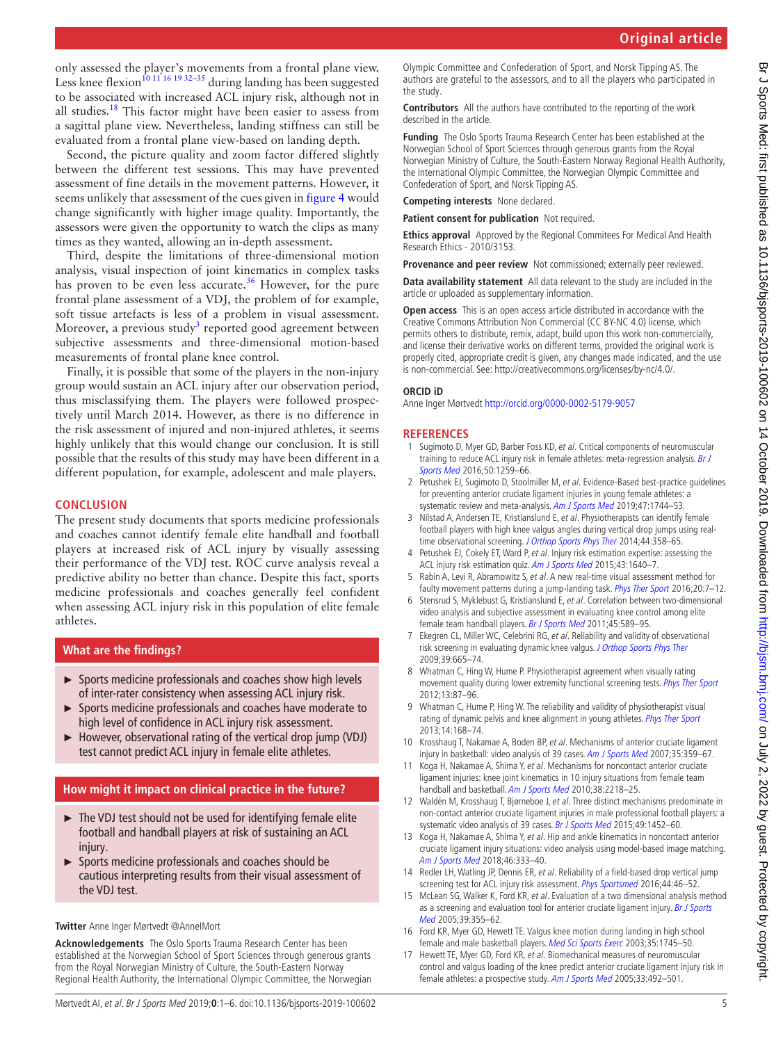only assessed the player's movements from a frontal plane view. Less knee flexion<sup>10 11 16 19 32-35</sup> during landing has been suggested to be associated with increased ACL injury risk, although not in all studies. $18$  This factor might have been easier to assess from a sagittal plane view. Nevertheless, landing stiffness can still be evaluated from a frontal plane view-based on landing depth.

Second, the picture quality and zoom factor differed slightly between the different test sessions. This may have prevented assessment of fine details in the movement patterns. However, it seems unlikely that assessment of the cues given in [figure](#page-3-3) 4 would change significantly with higher image quality. Importantly, the assessors were given the opportunity to watch the clips as many times as they wanted, allowing an in-depth assessment.

Third, despite the limitations of three-dimensional motion analysis, visual inspection of joint kinematics in complex tasks has proven to be even less accurate.<sup>[36](#page-5-8)</sup> However, for the pure frontal plane assessment of a VDJ, the problem of for example, soft tissue artefacts is less of a problem in visual assessment. Moreover, a previous study<sup>[3](#page-4-1)</sup> reported good agreement between subjective assessments and three-dimensional motion-based measurements of frontal plane knee control.

Finally, it is possible that some of the players in the non-injury group would sustain an ACL injury after our observation period, thus misclassifying them. The players were followed prospectively until March 2014. However, as there is no difference in the risk assessment of injured and non-injured athletes, it seems highly unlikely that this would change our conclusion. It is still possible that the results of this study may have been different in a different population, for example, adolescent and male players.

## **Conclusion**

The present study documents that sports medicine professionals and coaches cannot identify female elite handball and football players at increased risk of ACL injury by visually assessing their performance of the VDJ test. ROC curve analysis reveal a predictive ability no better than chance. Despite this fact, sports medicine professionals and coaches generally feel confident when assessing ACL injury risk in this population of elite female athletes.

# **What are the findings?**

- ► Sports medicine professionals and coaches show high levels of inter-rater consistency when assessing ACL injury risk.
- ► Sports medicine professionals and coaches have moderate to high level of confidence in ACL injury risk assessment.
- ► However, observational rating of the vertical drop jump (VDJ) test cannot predict ACL injury in female elite athletes.

# **How might it impact on clinical practice in the future?**

- ► The VDJ test should not be used for identifying female elite football and handball players at risk of sustaining an ACL injury.
- ► Sports medicine professionals and coaches should be cautious interpreting results from their visual assessment of the VDJ test.

#### **Twitter** Anne Inger Mørtvedt [@AnneIMort](https://twitter.com/AnneIMort)

**Acknowledgements** The Oslo Sports Trauma Research Center has been established at the Norwegian School of Sport Sciences through generous grants from the Royal Norwegian Ministry of Culture, the South-Eastern Norway Regional Health Authority, the International Olympic Committee, the Norwegian

Olympic Committee and Confederation of Sport, and Norsk Tipping AS. The authors are grateful to the assessors, and to all the players who participated in the study.

**Contributors** All the authors have contributed to the reporting of the work described in the article.

**Funding** The Oslo Sports Trauma Research Center has been established at the Norwegian School of Sport Sciences through generous grants from the Royal Norwegian Ministry of Culture, the South-Eastern Norway Regional Health Authority, the International Olympic Committee, the Norwegian Olympic Committee and Confederation of Sport, and Norsk Tipping AS.

**Competing interests** None declared.

**Patient consent for publication** Not required.

**Ethics approval** Approved by the Regional Commitees For Medical And Health Research Ethics - 2010/3153.

**Provenance and peer review** Not commissioned; externally peer reviewed.

**Data availability statement** All data relevant to the study are included in the article or uploaded as supplementary information.

**Open access** This is an open access article distributed in accordance with the Creative Commons Attribution Non Commercial (CC BY-NC 4.0) license, which permits others to distribute, remix, adapt, build upon this work non-commercially, and license their derivative works on different terms, provided the original work is properly cited, appropriate credit is given, any changes made indicated, and the use is non-commercial. See: [http://creativecommons.org/licenses/by-nc/4.0/.](http://creativecommons.org/licenses/by-nc/4.0/)

#### **ORCID iD**

Anne Inger Mørtvedt<http://orcid.org/0000-0002-5179-9057>

#### **References**

- <span id="page-4-0"></span>1 Sugimoto D, Myer GD, Barber Foss KD, et al. Critical components of neuromuscular training to reduce ACL injury risk in female athletes: meta-regression analysis. [Br J](http://dx.doi.org/10.1136/bjsports-2015-095596)  [Sports Med](http://dx.doi.org/10.1136/bjsports-2015-095596) 2016;50:1259–66.
- <span id="page-4-6"></span>2 Petushek EJ, Sugimoto D, Stoolmiller M, et al. Evidence-Based best-practice guidelines for preventing anterior cruciate ligament injuries in young female athletes: a systematic review and meta-analysis. [Am J Sports Med](http://dx.doi.org/10.1177/0363546518782460) 2019;47:1744–53.
- <span id="page-4-1"></span>3 Nilstad A, Andersen TE, Kristianslund E, et al. Physiotherapists can identify female football players with high knee valgus angles during vertical drop jumps using real-time observational screening. [J Orthop Sports Phys Ther](http://dx.doi.org/10.2519/jospt.2014.4969) 2014;44:358-65.
- <span id="page-4-5"></span>4 Petushek EJ, Cokely ET, Ward P, et al. Injury risk estimation expertise: assessing the ACL injury risk estimation quiz. [Am J Sports Med](http://dx.doi.org/10.1177/0363546515580791) 2015;43:1640-7.
- 5 Rabin A, Levi R, Abramowitz S, et al. A new real-time visual assessment method for faulty movement patterns during a jump-landing task. *[Phys Ther Sport](http://dx.doi.org/10.1016/j.ptsp.2015.11.001)* 2016;20:7-12.
- 6 Stensrud S, Myklebust G, Kristianslund E, et al. Correlation between two-dimensional video analysis and subjective assessment in evaluating knee control among elite female team handball players. [Br J Sports Med](http://dx.doi.org/10.1136/bjsm.2010.078287) 2011;45:589-95.
- 7 Ekegren CL, Miller WC, Celebrini RG, et al. Reliability and validity of observational risk screening in evaluating dynamic knee valgus. [J Orthop Sports Phys Ther](http://dx.doi.org/10.2519/jospt.2009.3004) 2009;39:665–74.
- 8 Whatman C, Hing W, Hume P. Physiotherapist agreement when visually rating movement quality during lower extremity functional screening tests. [Phys Ther Sport](http://dx.doi.org/10.1016/j.ptsp.2011.07.001) 2012;13:87–96.
- 9 Whatman C, Hume P, Hing W. The reliability and validity of physiotherapist visual rating of dynamic pelvis and knee alignment in young athletes. [Phys Ther Sport](http://dx.doi.org/10.1016/j.ptsp.2012.07.001) 2013;14:168–74.
- <span id="page-4-2"></span>10 Krosshaug T, Nakamae A, Boden BP, et al. Mechanisms of anterior cruciate ligament injury in basketball: video analysis of 39 cases. [Am J Sports Med](http://dx.doi.org/10.1177/0363546506293899) 2007;35:359-67.
- 11 Koga H, Nakamae A, Shima Y, et al. Mechanisms for noncontact anterior cruciate ligament injuries: knee joint kinematics in 10 injury situations from female team handball and basketball. [Am J Sports Med](http://dx.doi.org/10.1177/0363546510373570) 2010;38:2218-25.
- 12 Waldén M, Krosshaug T, Bjørneboe J, et al. Three distinct mechanisms predominate in non-contact anterior cruciate ligament injuries in male professional football players: a systematic video analysis of 39 cases. [Br J Sports Med](http://dx.doi.org/10.1136/bjsports-2014-094573) 2015;49:1452-60.
- 13 Koga H, Nakamae A, Shima Y, et al. Hip and ankle kinematics in noncontact anterior cruciate ligament injury situations: video analysis using model-based image matching. [Am J Sports Med](http://dx.doi.org/10.1177/0363546517732750) 2018;46:333–40.
- <span id="page-4-3"></span>14 Redler LH, Watling JP, Dennis ER, et al. Reliability of a field-based drop vertical jump screening test for ACL injury risk assessment. [Phys Sportsmed](http://dx.doi.org/10.1080/00913847.2016.1131107) 2016;44:46-52.
- 15 McLean SG, Walker K, Ford KR, et al. Evaluation of a two dimensional analysis method as a screening and evaluation tool for anterior cruciate ligament injury. Br J Sports [Med](http://dx.doi.org/10.1136/bjsm.2005.018598) 2005;39:355–62.
- 16 Ford KR, Myer GD, Hewett TE. Valgus knee motion during landing in high school female and male basketball players. [Med Sci Sports Exerc](http://dx.doi.org/10.1249/01.MSS.0000089346.85744.D9) 2003;35:1745–50.
- <span id="page-4-4"></span>17 Hewett TE, Myer GD, Ford KR, et al. Biomechanical measures of neuromuscular control and valgus loading of the knee predict anterior cruciate ligament injury risk in female athletes: a prospective study. [Am J Sports Med](http://dx.doi.org/10.1177/0363546504269591) 2005;33:492-501.